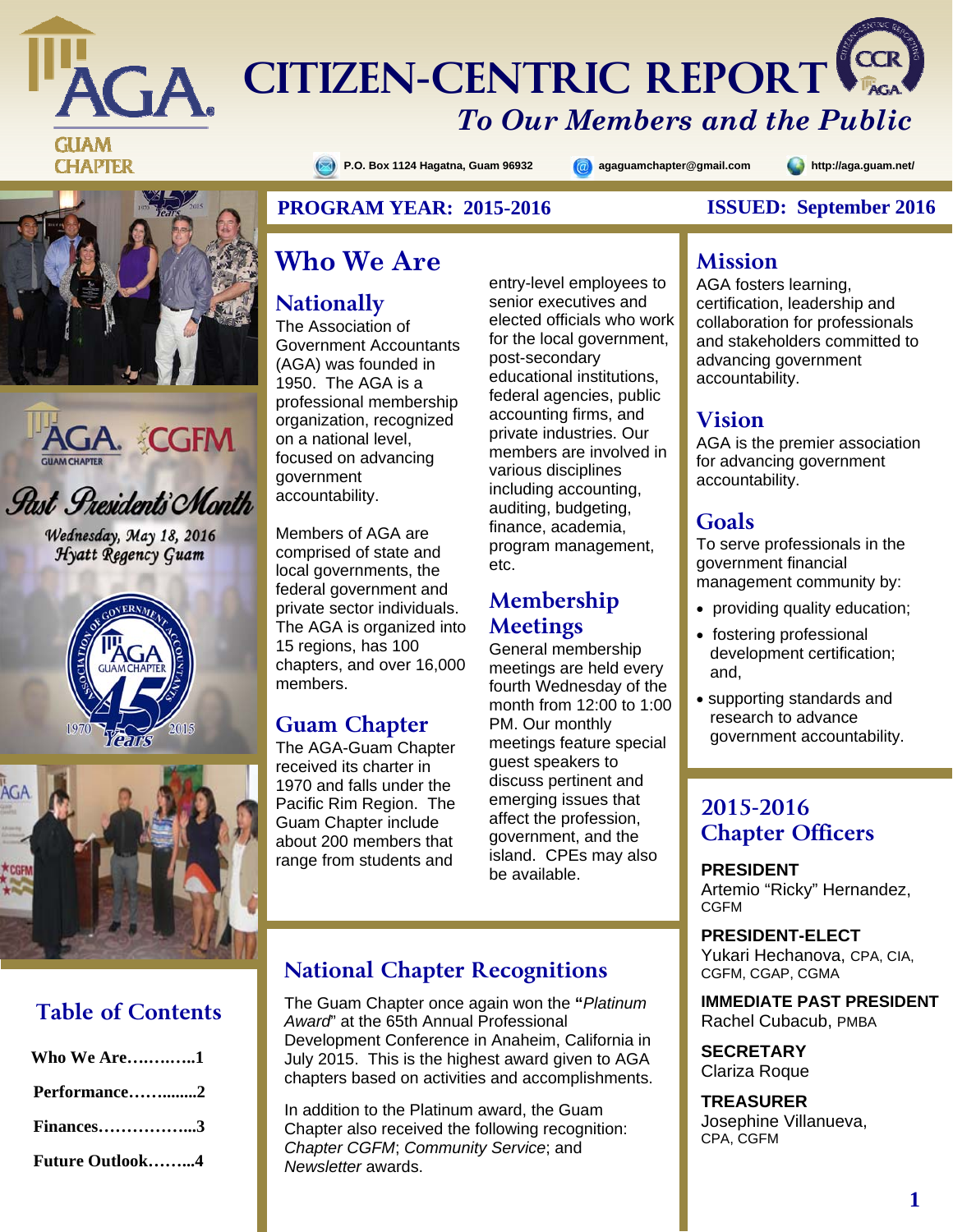

**GA CITIZEN-CENTRIC REPORT** 

# **GUAM CHAPTER**





*Rast Presidents Month* 

Wednesday, May 18, 2016 Hyatt Regency Guam





# **Table of Contents**

| <b>Who We Are1</b>     |
|------------------------|
| Performance2           |
| Finances3              |
| <b>Future Outlook4</b> |

#### **P.O. Box 1124 Hagatna, Guam 96932 agaguamchapter@gmail.com http://aga.guam.net/**

#### **PROGRAM YEAR: 2015-2016 ISSUED: September 2016**

# **Who We Are**

# **Nationally**

The Association of Government Accountants (AGA) was founded in 1950. The AGA is a professional membership organization, recognized on a national level, focused on advancing government accountability.

Members of AGA are comprised of state and local governments, the federal government and private sector individuals. The AGA is organized into 15 regions, has 100 chapters, and over 16,000 members.

# **Guam Chapter**

The AGA-Guam Chapter received its charter in 1970 and falls under the Pacific Rim Region. The Guam Chapter include about 200 members that range from students and

entry-level employees to senior executives and elected officials who work for the local government, post-secondary educational institutions, federal agencies, public accounting firms, and private industries. Our members are involved in various disciplines including accounting, auditing, budgeting, finance, academia, program management, etc.

# **Membership Meetings**

General membership meetings are held every fourth Wednesday of the month from 12:00 to 1:00 PM. Our monthly meetings feature special guest speakers to discuss pertinent and emerging issues that affect the profession, government, and the island. CPEs may also be available.

# **National Chapter Recognitions**

The Guam Chapter once again won the **"***Platinum Award*" at the 65th Annual Professional Development Conference in Anaheim, California in July 2015. This is the highest award given to AGA chapters based on activities and accomplishments.

In addition to the Platinum award, the Guam Chapter also received the following recognition: *Chapter CGFM*; *Community Service*; and *Newsletter* awards.

#### **Mission**

*To Our Members and the Public* 

AGA fosters learning, certification, leadership and collaboration for professionals and stakeholders committed to advancing government accountability.

#### **Vision**

AGA is the premier association for advancing government accountability.

#### **Goals**

To serve professionals in the government financial management community by:

- providing quality education;
- fostering professional development certification; and,
- supporting standards and research to advance government accountability.

# **2015-2016 Chapter Officers**

**PRESIDENT**  Artemio "Ricky" Hernandez, CGFM

**PRESIDENT-ELECT** Yukari Hechanova, CPA, CIA, CGFM, CGAP, CGMA

**IMMEDIATE PAST PRESIDENT**  Rachel Cubacub, PMBA

**SECRETARY**  Clariza Roque

**TREASURER**  Josephine Villanueva, CPA, CGFM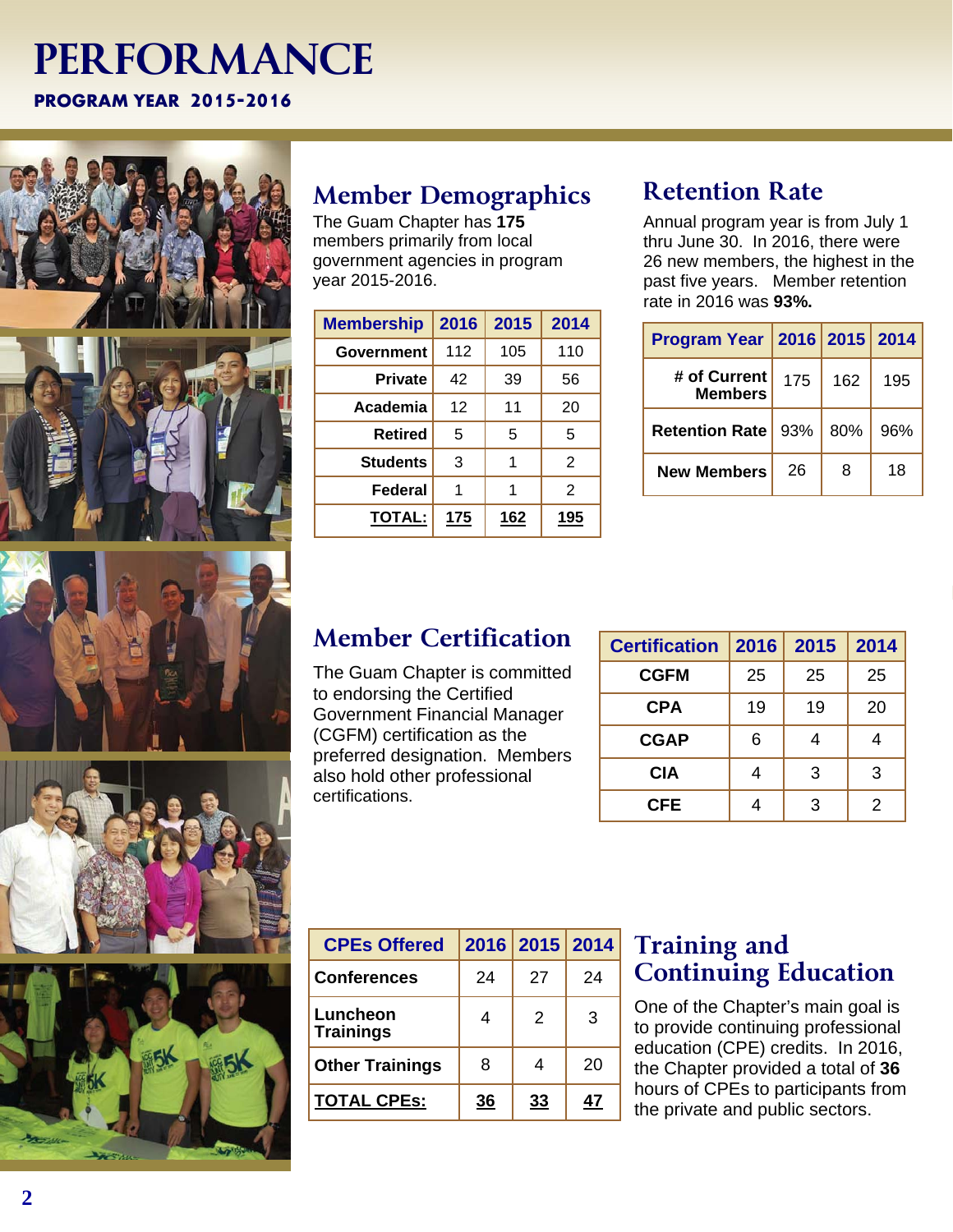# **PERFORMANCE PROGRAM YEAR 2015-2016**







# **Member Demographics**

The Guam Chapter has **175**  members primarily from local government agencies in program year 2015-2016.

| <b>Membership</b> | 2016 | 2015       | 2014       |
|-------------------|------|------------|------------|
| Government        | 112  | 105        | 110        |
| <b>Private</b>    | 42   | 39         | 56         |
| Academia          | 12   | 11         | 20         |
| Retired           | 5    | 5          | 5          |
| <b>Students</b>   | 3    | 1          | 2          |
| Federal           | 1    | 1          | 2          |
| <b>TOTAL:</b>     | 175  | <u>162</u> | <u>195</u> |

# **Retention Rate**

Annual program year is from July 1 thru June 30. In 2016, there were 26 new members, the highest in the past five years. Member retention rate in 2016 was **93%.**

| Program Year   2016   2015   2014 |     |     |     |
|-----------------------------------|-----|-----|-----|
| # of Current<br><b>Members</b>    | 175 | 162 | 195 |
| <b>Retention Rate</b>             | 93% | 80% | 96% |
| <b>New Members</b>                | 26  | 8   | 18  |

# **Member Certification**

The Guam Chapter is committed to endorsing the Certified Government Financial Manager (CGFM) certification as the preferred designation. Members also hold other professional certifications.

| <b>Certification</b> | 2016 | 2015 | 2014 |
|----------------------|------|------|------|
| <b>CGFM</b>          | 25   | 25   | 25   |
| <b>CPA</b>           | 19   | 19   | 20   |
| <b>CGAP</b>          | 6    |      |      |
| <b>CIA</b>           | 4    | 3    | 3    |
| CFE                  |      | 3    | 2    |

| <b>CPEs Offered</b>          |    | 2016 2015 2014 |    |
|------------------------------|----|----------------|----|
| <b>Conferences</b>           | 24 | 27             | 24 |
| Luncheon<br><b>Trainings</b> | 4  | $\mathcal{P}$  | 3  |
| <b>Other Trainings</b>       | 8  | 4              | 20 |
| <b>TOTAL CPEs:</b>           | 36 | 33             | 47 |

# **Training and Continuing Education**

One of the Chapter's main goal is to provide continuing professional education (CPE) credits. In 2016, the Chapter provided a total of **36**  hours of CPEs to participants from the private and public sectors.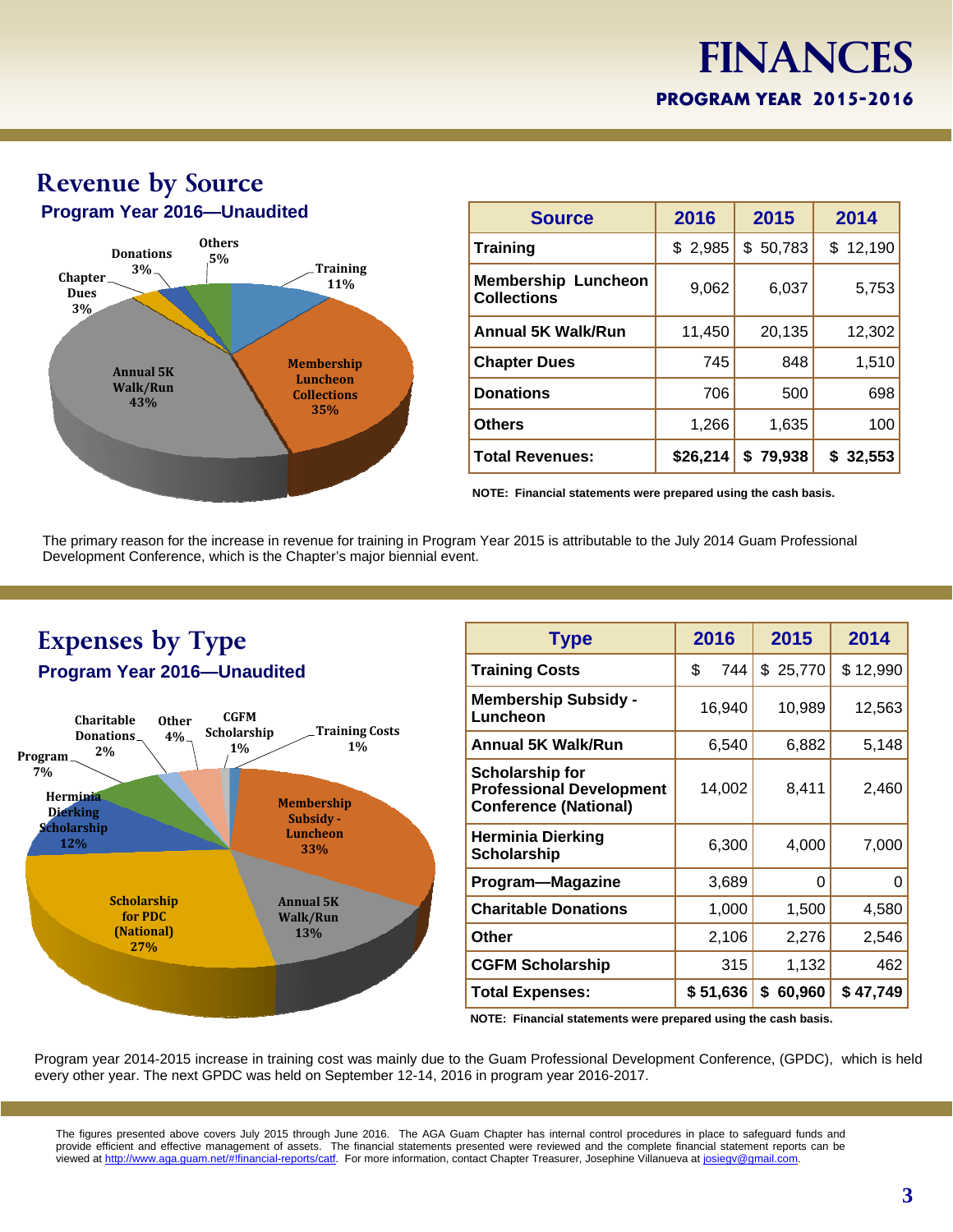# **Finances FINANCES PROGRAM YEAR 2014-2015 PROGRAM YEAR 2015-2016**



| <b>Source</b>                                    | 2016     | 2015        | 2014     |
|--------------------------------------------------|----------|-------------|----------|
| <b>Training</b>                                  | \$2,985  | \$50,783    | \$12,190 |
| <b>Membership Luncheon</b><br><b>Collections</b> | 9,062    | 6,037       | 5,753    |
| <b>Annual 5K Walk/Run</b>                        | 11,450   | 20,135      | 12,302   |
| <b>Chapter Dues</b>                              | 745      | 848         | 1,510    |
| <b>Donations</b>                                 | 706      | 500         | 698      |
| <b>Others</b>                                    | 1,266    | 1,635       | 100      |
| <b>Total Revenues:</b>                           | \$26,214 | 79,938<br>S | \$32,553 |

**NOTE: Financial statements were prepared using the cash basis.** 

The primary reason for the increase in revenue for training in Program Year 2015 is attributable to the July 2014 Guam Professional Development Conference, which is the Chapter's major biennial event.



| <b>Type</b>                                                                               | 2016   |          | 2015         |   | 2014     |  |       |
|-------------------------------------------------------------------------------------------|--------|----------|--------------|---|----------|--|-------|
| <b>Training Costs</b>                                                                     | \$     | 744      | \$25,770     |   | \$12,990 |  |       |
| <b>Membership Subsidy -</b><br>Luncheon                                                   | 16,940 |          | 10,989       |   | 12,563   |  |       |
| <b>Annual 5K Walk/Run</b>                                                                 | 6,540  |          | 6,882        |   | 5,148    |  |       |
| <b>Scholarship for</b><br><b>Professional Development</b><br><b>Conference (National)</b> | 14,002 |          |              |   | 8,411    |  | 2,460 |
| <b>Herminia Dierking</b><br>Scholarship                                                   | 6,300  |          | 4,000        |   | 7,000    |  |       |
| Program-Magazine                                                                          |        | 3,689    |              | 0 | 0        |  |       |
| <b>Charitable Donations</b>                                                               |        | 1,000    | 1,500        |   | 4,580    |  |       |
| Other                                                                                     | 2,106  |          | 2,276        |   | 2,546    |  |       |
| <b>CGFM Scholarship</b>                                                                   | 315    |          | 1,132        |   | 462      |  |       |
| <b>Total Expenses:</b>                                                                    |        | \$51,636 | \$<br>60,960 |   | \$47,749 |  |       |
|                                                                                           |        |          |              |   |          |  |       |

**NOTE: Financial statements were prepared using the cash basis.** 

Program year 2014-2015 increase in training cost was mainly due to the Guam Professional Development Conference, (GPDC), which is held every other year. The next GPDC was held on September 12-14, 2016 in program year 2016-2017.

The figures presented above covers July 2015 through June 2016. The AGA Guam Chapter has internal control procedures in place to safeguard funds and provide efficient and effective management of assets. The financial statements presented were reviewed and the complete financial statement reports can be viewed at http://www.aga.guam.net/#!financial-reports/catf. For more information, contact Chapter Treasurer, Josephine Villanueva at josiegv@gmail.com.

# **Revenue by Source Program Year 2016—Unaudited**

**3**